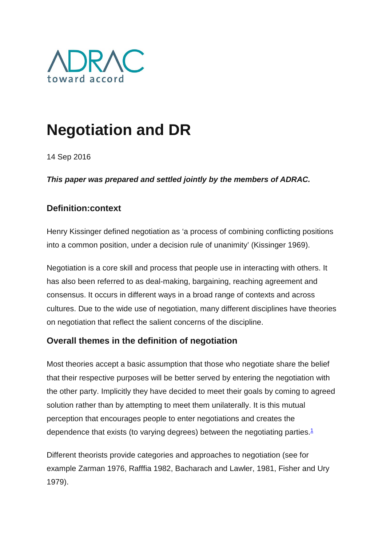

# **Negotiation and DR**

14 Sep 2016

*This paper was prepared and settled jointly by the members of ADRAC.*

## **Definition:context**

Henry Kissinger defined negotiation as 'a process of combining conflicting positions into a common position, under a decision rule of unanimity' (Kissinger 1969).

Negotiation is a core skill and process that people use in interacting with others. It has also been referred to as deal-making, bargaining, reaching agreement and consensus. It occurs in different ways in a broad range of contexts and across cultures. Due to the wide use of negotiation, many different disciplines have theories on negotiation that reflect the salient concerns of the discipline.

### **Overall themes in the definition of negotiation**

Most theories accept a basic assumption that those who negotiate share the belief that their respective purposes will be better served by entering the negotiation with the other party. Implicitly they have decided to meet their goals by coming to agreed solution rather than by attempting to meet them unilaterally. It is this mutual perception that encourages people to enter negotiations and creates the dependence that exists (to varying degrees) between the negotiating parties. $1$ 

Different theorists provide categories and approaches to negotiation (see for example Zarman 1976, Rafffia 1982, Bacharach and Lawler, 1981, Fisher and Ury 1979).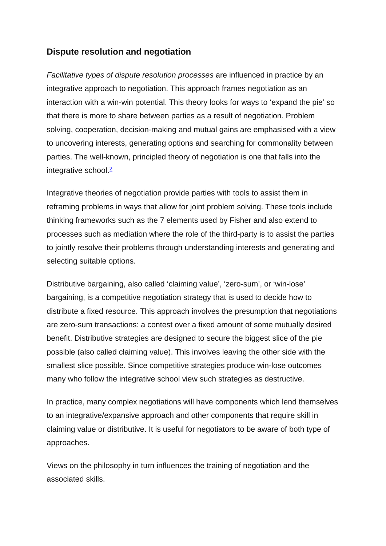### **Dispute resolution and negotiation**

*Facilitative types of dispute resolution processes* are influenced in practice by an integrative approach to negotiation. This approach frames negotiation as an interaction with a win-win potential. This theory looks for ways to 'expand the pie' so that there is more to share between parties as a result of negotiation. Problem solving, cooperation, decision-making and mutual gains are emphasised with a view to uncovering interests, generating options and searching for commonality between parties. The well-known, principled theory of negotiation is one that falls into the integrative school. $\frac{2}{3}$ 

Integrative theories of negotiation provide parties with tools to assist them in reframing problems in ways that allow for joint problem solving. These tools include thinking frameworks such as the 7 elements used by Fisher and also extend to processes such as mediation where the role of the third-party is to assist the parties to jointly resolve their problems through understanding interests and generating and selecting suitable options.

Distributive bargaining, also called 'claiming value', 'zero-sum', or 'win-lose' bargaining, is a competitive negotiation strategy that is used to decide how to distribute a fixed resource. This approach involves the presumption that negotiations are zero-sum transactions: a contest over a fixed amount of some mutually desired benefit. Distributive strategies are designed to secure the biggest slice of the pie possible (also called claiming value). This involves leaving the other side with the smallest slice possible. Since competitive strategies produce win-lose outcomes many who follow the integrative school view such strategies as destructive.

In practice, many complex negotiations will have components which lend themselves to an integrative/expansive approach and other components that require skill in claiming value or distributive. It is useful for negotiators to be aware of both type of approaches.

Views on the philosophy in turn influences the training of negotiation and the associated skills.